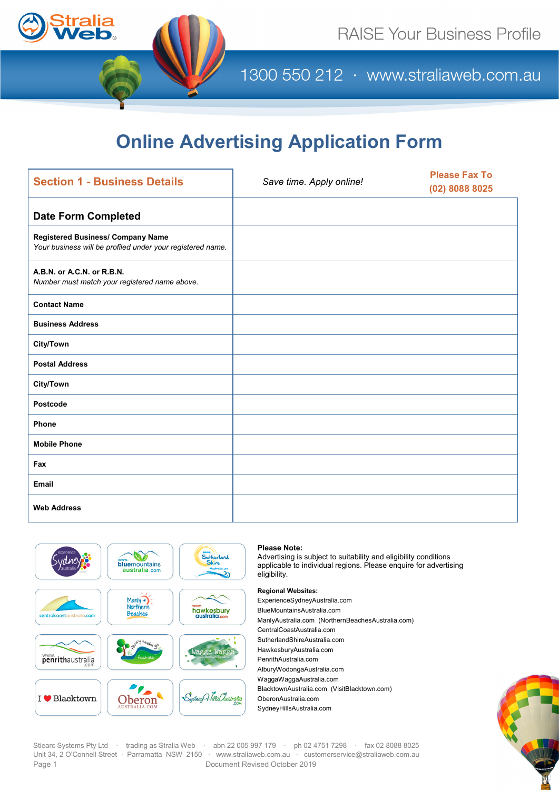

1300 550 212 · www.straliaweb.com.au

# **Online Advertising Application Form**

| <b>Section 1 - Business Details</b>                                                             | Save time. Apply online! | <b>Please Fax To</b><br>$(02)$ 8088 8025 |  |  |
|-------------------------------------------------------------------------------------------------|--------------------------|------------------------------------------|--|--|
| <b>Date Form Completed</b>                                                                      |                          |                                          |  |  |
| Registered Business/ Company Name<br>Your business will be profiled under your registered name. |                          |                                          |  |  |
| A.B.N. or A.C.N. or R.B.N.<br>Number must match your registered name above.                     |                          |                                          |  |  |
| <b>Contact Name</b>                                                                             |                          |                                          |  |  |
| <b>Business Address</b>                                                                         |                          |                                          |  |  |
| <b>City/Town</b>                                                                                |                          |                                          |  |  |
| <b>Postal Address</b>                                                                           |                          |                                          |  |  |
| <b>City/Town</b>                                                                                |                          |                                          |  |  |
| Postcode                                                                                        |                          |                                          |  |  |
| Phone                                                                                           |                          |                                          |  |  |
| <b>Mobile Phone</b>                                                                             |                          |                                          |  |  |
| Fax                                                                                             |                          |                                          |  |  |
| Email                                                                                           |                          |                                          |  |  |
| <b>Web Address</b>                                                                              |                          |                                          |  |  |



### **Please Note:**

Advertising is subject to suitability and eligibility conditions applicable to individual regions. Please enquire for advertising eligibility.

**Regional Websites:**  ExperienceSydneyAustralia.com BlueMountainsAustralia.com ManlyAustralia.com (NorthernBeachesAustralia.com) CentralCoastAustralia.com SutherlandShireAustralia.com HawkesburyAustralia.com PenrithAustralia.com AlburyWodongaAustralia.com WaggaWaggaAustralia.com BlacktownAustralia.com (VisitBlacktown.com) OberonAustralia.com SydneyHillsAustralia.com



Stiearc Systems Pty Ltd · trading as Stralia Web abn 22 005 997 179 · ph 02 4751 7298 · fax 02 8088 8025 Unit 34, 2 O'Connell Street · Parramatta NSW 2150 · [www.straliaweb.com.au](http://www.straliaweb.com.au/) · [customerservice@straliaweb.com.au](mailto:customerservice@straliaweb.com.au) Page 1 **Document Revised October 2019**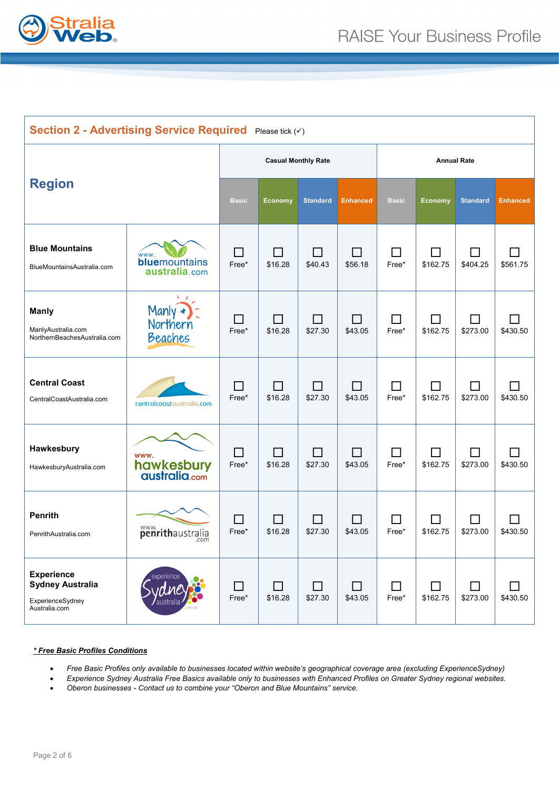

| Section 2 - Advertising Service Required Please tick (V)                          |                                        |                            |                           |                         |                           |                         |               |                 |                            |
|-----------------------------------------------------------------------------------|----------------------------------------|----------------------------|---------------------------|-------------------------|---------------------------|-------------------------|---------------|-----------------|----------------------------|
|                                                                                   |                                        | <b>Casual Monthly Rate</b> |                           |                         |                           | <b>Annual Rate</b>      |               |                 |                            |
| <b>Region</b>                                                                     |                                        | <b>Basic</b>               | Economy                   | <b>Standard</b>         | <b>Enhanced</b>           | <b>Basic</b>            | Economy       | <b>Standard</b> | <b>Enhanced</b>            |
| <b>Blue Mountains</b><br>BlueMountainsAustralia.com                               | www.<br>bluemountains<br>australia.com | П<br>Free*                 | П<br>\$16.28              | ΙI<br>\$40.43           | $\blacksquare$<br>\$56.18 | ΙI<br>Free*             | \$162.75      | H<br>\$404.25   | \$561.75                   |
| <b>Manly</b><br>ManlyAustralia.com<br>NorthernBeachesAustralia.com                | Manly $\star$<br>Northern<br>Beaches   | $\sim$<br>Free*            | ΙI<br>\$16.28             | ΙI<br>\$27.30           | $\mathsf{L}$<br>\$43.05   | $\blacksquare$<br>Free* | \$162.75      | \$273.00        | \$430.50                   |
| <b>Central Coast</b><br>CentralCoastAustralia.com                                 | centralcoastaustralia.com              | $\Box$<br>Free*            | ΙI<br>\$16.28             | $\mathsf{L}$<br>\$27.30 | $\blacksquare$<br>\$43.05 | $\blacksquare$<br>Free* | \$162.75      | ΙI<br>\$273.00  | $\blacksquare$<br>\$430.50 |
| Hawkesbury<br>HawkesburyAustralia.com                                             | www.<br>hawkesbury<br>australia.com    | $\Box$<br>Free*            | П<br>\$16.28              | П<br>\$27.30            | $\Box$<br>\$43.05         | ΙI<br>Free*             | \$162.75      | П<br>\$273.00   | $\blacksquare$<br>\$430.50 |
| <b>Penrith</b><br>PenrithAustralia.com                                            | penrithaustralia                       | $\sim$<br>Free*            | $\blacksquare$<br>\$16.28 | \$27.30                 | \$43.05                   | Free*                   | \$162.75      | \$273.00        | \$430.50                   |
| <b>Experience</b><br><b>Sydney Australia</b><br>ExperienceSydney<br>Australia.com | experience<br>australia                | П<br>Free*                 | П<br>\$16.28              | П<br>\$27.30            | П<br>\$43.05              | ΙI<br>Free*             | П<br>\$162.75 | ΙI<br>\$273.00  | \$430.50                   |

### *\* Free Basic Profiles Conditions*

- *Free Basic Profiles only available to businesses located within website's geographical coverage area (excluding ExperienceSydney)*
- *Experience Sydney Australia Free Basics available only to businesses with Enhanced Profiles on Greater Sydney regional websites.*
- *Oberon businesses - Contact us to combine your "Oberon and Blue Mountains" service.*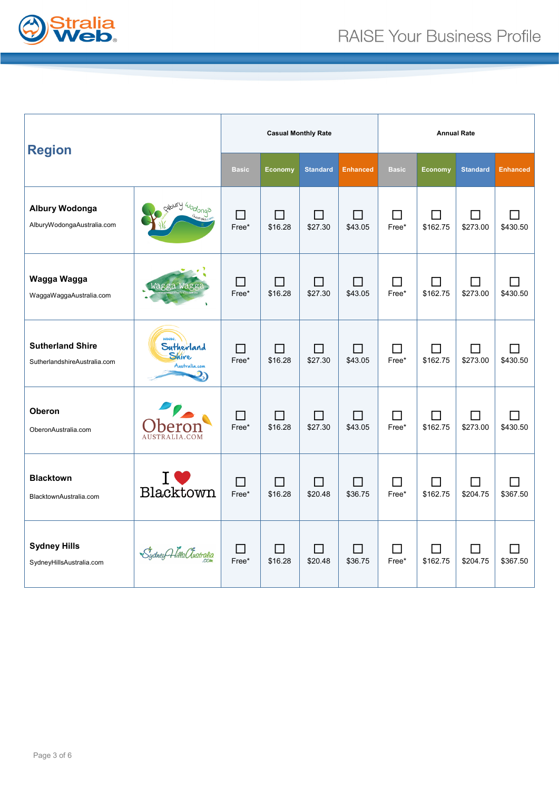

| <b>Region</b>                                           |                                              | <b>Casual Monthly Rate</b> |                                     |                   |                                     | <b>Annual Rate</b> |                            |                 |                 |
|---------------------------------------------------------|----------------------------------------------|----------------------------|-------------------------------------|-------------------|-------------------------------------|--------------------|----------------------------|-----------------|-----------------|
|                                                         |                                              | <b>Basic</b>               | Economy                             | <b>Standard</b>   | <b>Enhanced</b>                     | <b>Basic</b>       | Economy                    | <b>Standard</b> | <b>Enhanced</b> |
| <b>Albury Wodonga</b><br>AlburyWodongaAustralia.com     | poury 40donga                                | П<br>Free*                 | □<br>\$16.28                        | \$27.30           | $\blacksquare$<br>\$43.05           | Free*              | \$162.75                   | \$273.00        | \$430.50        |
| Wagga Wagga<br>WaggaWaggaAustralia.com                  | Wagga Wagga                                  | ΙI<br>Free*                | П<br>\$16.28                        | $\Box$<br>\$27.30 | H<br>\$43.05                        | H<br>Free*         | $\blacksquare$<br>\$162.75 | \$273.00        | \$430.50        |
| <b>Sutherland Shire</b><br>SutherlandshireAustralia.com | WWW.<br>Sutherland<br>Shire<br>Australia.com | $\mathsf{L}$<br>Free*      | ΙI<br>\$16.28                       | ΙI<br>\$27.30     | ΙI<br>\$43.05                       | $\Box$<br>Free*    | \$162.75                   | \$273.00        | \$430.50        |
| <b>Oberon</b><br>OberonAustralia.com                    | AUSTRALIA.COM                                | П<br>Free*                 | П<br>\$16.28                        | П<br>\$27.30      | П<br>\$43.05                        | Free*              | \$162.75                   | \$273.00        | \$430.50        |
| <b>Blacktown</b><br>BlacktownAustralia.com              | Blacktown                                    | Free*                      | $\overline{\phantom{a}}$<br>\$16.28 | \$20.48           | $\overline{\phantom{a}}$<br>\$36.75 | Free*              | \$162.75                   | \$204.75        | \$367.50        |
| <b>Sydney Hills</b><br>SydneyHillsAustralia.com         | Sydney Hills Clustralia                      | П<br>Free*                 | П<br>\$16.28                        | П<br>\$20.48      | □<br>\$36.75                        | Free*              | \$162.75                   | \$204.75        | \$367.50        |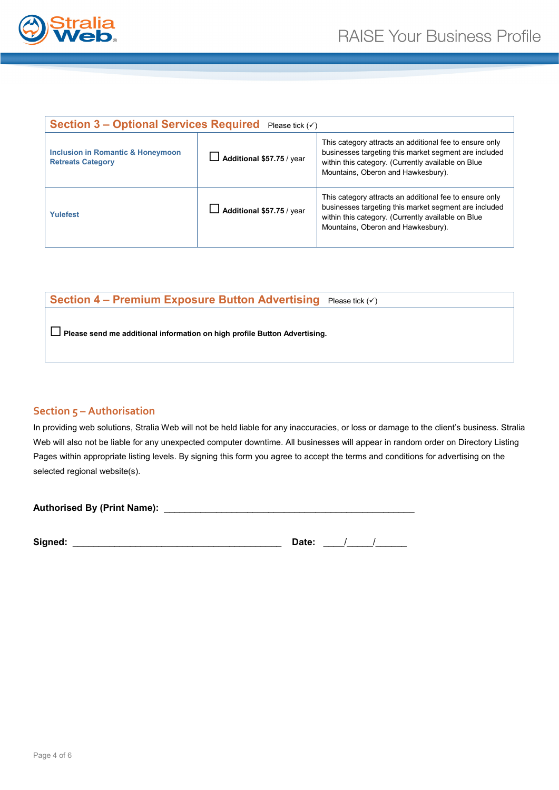

| <b>Section 3 – Optional Services Required</b> Please tick $($            |                                  |                                                                                                                                                                                                              |  |  |  |  |
|--------------------------------------------------------------------------|----------------------------------|--------------------------------------------------------------------------------------------------------------------------------------------------------------------------------------------------------------|--|--|--|--|
| <b>Inclusion in Romantic &amp; Honeymoon</b><br><b>Retreats Category</b> | Additional \$57.75 / year        | This category attracts an additional fee to ensure only<br>businesses targeting this market segment are included<br>within this category. (Currently available on Blue<br>Mountains, Oberon and Hawkesbury). |  |  |  |  |
| Yulefest                                                                 | $\Box$ Additional \$57.75 / year | This category attracts an additional fee to ensure only<br>businesses targeting this market segment are included<br>within this category. (Currently available on Blue<br>Mountains, Oberon and Hawkesbury). |  |  |  |  |

# **Section 4 - Premium Exposure Button Advertising** Please tick ( $\checkmark$ )

**Please send me additional information on high profile Button Advertising.** 

### **Section 5 – Authorisation**

In providing web solutions, Stralia Web will not be held liable for any inaccuracies, or loss or damage to the client's business. Stralia Web will also not be liable for any unexpected computer downtime. All businesses will appear in random order on Directory Listing Pages within appropriate listing levels. By signing this form you agree to accept the terms and conditions for advertising on the selected regional website(s).

| <b>Authorised By (Print Name):</b> |  |
|------------------------------------|--|
|                                    |  |

| Signed: | )ate: |  |
|---------|-------|--|
|         |       |  |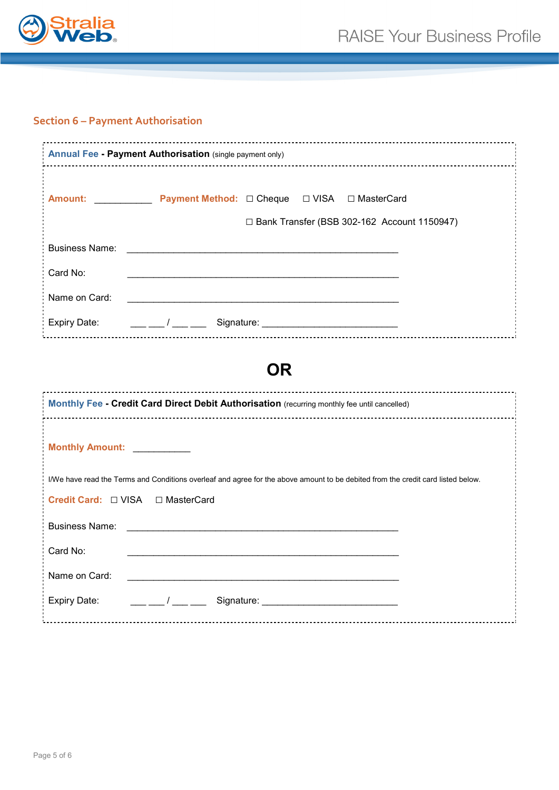

# **Section 6 – Payment Authorisation**

| <b>Annual Fee - Payment Authorisation (single payment only)</b>                                                                                                                                                                                                                                                                                                                                                                                                               |  |  |  |  |  |
|-------------------------------------------------------------------------------------------------------------------------------------------------------------------------------------------------------------------------------------------------------------------------------------------------------------------------------------------------------------------------------------------------------------------------------------------------------------------------------|--|--|--|--|--|
| Amount: Payment Method: □ Cheque □ VISA □ MasterCard<br>□ Bank Transfer (BSB 302-162 Account 1150947)                                                                                                                                                                                                                                                                                                                                                                         |  |  |  |  |  |
| <b>Business Name:</b><br>and the control of the control of the control of the control of the control of the control of the control of the                                                                                                                                                                                                                                                                                                                                     |  |  |  |  |  |
| Card No:<br><u> 1989 - Johann Stoff, amerikansk politiker (d. 1989)</u>                                                                                                                                                                                                                                                                                                                                                                                                       |  |  |  |  |  |
| Name on Card:                                                                                                                                                                                                                                                                                                                                                                                                                                                                 |  |  |  |  |  |
| <b>Expiry Date:</b>                                                                                                                                                                                                                                                                                                                                                                                                                                                           |  |  |  |  |  |
| <b>OR</b>                                                                                                                                                                                                                                                                                                                                                                                                                                                                     |  |  |  |  |  |
| Monthly Fee - Credit Card Direct Debit Authorisation (recurring monthly fee until cancelled)                                                                                                                                                                                                                                                                                                                                                                                  |  |  |  |  |  |
| Monthly Amount: ___________                                                                                                                                                                                                                                                                                                                                                                                                                                                   |  |  |  |  |  |
| I/We have read the Terms and Conditions overleaf and agree for the above amount to be debited from the credit card listed below.<br><b>Credit Card:</b> □ VISA □ MasterCard                                                                                                                                                                                                                                                                                                   |  |  |  |  |  |
| <b>Business Name:</b>                                                                                                                                                                                                                                                                                                                                                                                                                                                         |  |  |  |  |  |
| Card No:<br><u> 1989 - Johann Stoff, amerikansk politiker (d. 1989)</u>                                                                                                                                                                                                                                                                                                                                                                                                       |  |  |  |  |  |
| Name on Card:<br><u> 1989 - Johann Stoff, amerikansk politiker (d. 1989)</u>                                                                                                                                                                                                                                                                                                                                                                                                  |  |  |  |  |  |
| $\frac{1}{1-\frac{1}{1-\frac{1}{1-\frac{1}{1-\frac{1}{1-\frac{1}{1-\frac{1}{1-\frac{1}{1-\frac{1}{1-\frac{1}{1-\frac{1}{1-\frac{1}{1-\frac{1}{1-\frac{1}{1-\frac{1}{1-\frac{1}{1-\frac{1}{1-\frac{1}{1-\frac{1}{1-\frac{1}{1-\frac{1}{1-\frac{1}{1-\frac{1}{1-\frac{1}{1-\frac{1}{1-\frac{1}{1-\frac{1}{1-\frac{1}{1-\frac{1}{1-\frac{1}{1-\frac{1}{1-\frac{1}{1-\frac{1}{1-\frac{1}{1-\frac{1}{1-\frac{1}{1-\frac{1$<br><b>Expiry Date:</b><br>Signature: William Signature: |  |  |  |  |  |